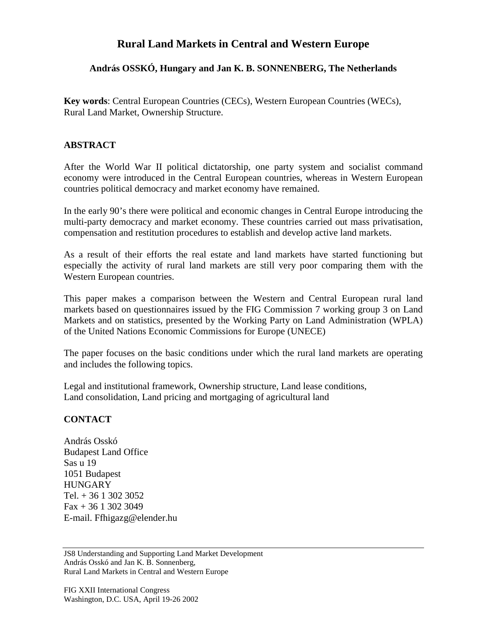## **Rural Land Markets in Central and Western Europe**

## **András OSSKÓ, Hungary and Jan K. B. SONNENBERG, The Netherlands**

**Key words**: Central European Countries (CECs), Western European Countries (WECs), Rural Land Market, Ownership Structure.

## **ABSTRACT**

After the World War II political dictatorship, one party system and socialist command economy were introduced in the Central European countries, whereas in Western European countries political democracy and market economy have remained.

In the early 90's there were political and economic changes in Central Europe introducing the multi-party democracy and market economy. These countries carried out mass privatisation, compensation and restitution procedures to establish and develop active land markets.

As a result of their efforts the real estate and land markets have started functioning but especially the activity of rural land markets are still very poor comparing them with the Western European countries.

This paper makes a comparison between the Western and Central European rural land markets based on questionnaires issued by the FIG Commission 7 working group 3 on Land Markets and on statistics, presented by the Working Party on Land Administration (WPLA) of the United Nations Economic Commissions for Europe (UNECE)

The paper focuses on the basic conditions under which the rural land markets are operating and includes the following topics.

Legal and institutional framework, Ownership structure, Land lease conditions, Land consolidation, Land pricing and mortgaging of agricultural land

## **CONTACT**

András Osskó Budapest Land Office Sas u 19 1051 Budapest **HUNGARY** Tel. + 36 1 302 3052 Fax + 36 1 302 3049 E-mail. Ffhigazg@elender.hu

JS8 Understanding and Supporting Land Market Development András Osskó and Jan K. B. Sonnenberg, Rural Land Markets in Central and Western Europe